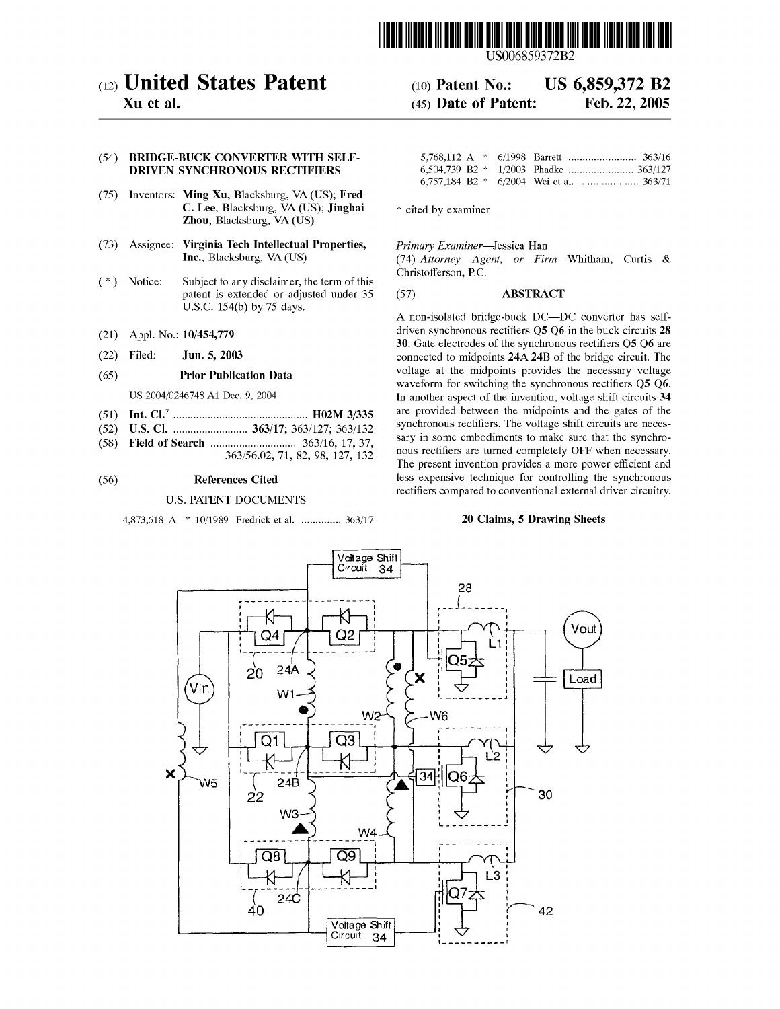

US006859372B2

# (12) United States Patent (10) Patent N0.: US 6,859,372 B2

Xu et al. **Example 22, 2005** (45) Date of Patent: Feb. 22, 2005

# (54) BRIDGE-BUCK CONVERTER WITH SELF- 5,768,112 A \* 6/1998 Barrett ................................ 363/16

- (75) Inventors: Ming Xu, Blacksburg, VA (US); Fred **C. Lee**, Blacksburg, VA (US); **Jinghai**  $*$  cited by examiner Zhou, Blacksburg, VA (US)
- (73) Assignee: Virginia Tech Intellectual Properties, Primary Examiner-Jessica Han
- Notice: Subject to any disclaimer, the term of this Christofferson, P.C. (\*) Notice: Subject to any disclaimer, the term of this patent is extended or adjusted under 35 (57) ABSTRACT
- 
- 

- 
- 
- 

## **DRIVEN SYNCHRONOUS RECTIFIERS** 6,504,739 B2 \* 1/2003 Phadke ......................... 363/127 6,757,184 B2 \* 6/2004 Wei et a1. ..................... 363/71

Inc., Blacksburg, VA (US) (74) Attorney, Agent, or Firm—Whitham, Curtis &

U.S.C. 154(b) by 75 days.<br>A non-isolated bridge-buck DC—DC converter has self- (51) Int. Cl.7 ............................................... H02M 3/335 are PreVided hetweeh the midPeihtS and the gates 0f the (52) US. Cl. ..... 363/17; 363/127; 363/132 synchronous rectifiers. The voltage shift circuits are neces- (21) Appl. No.: 10/454,779 driven synchronous rectifiers Q5 Q6 in the buck circuits 28 30. Gate electrodes of the synchronous rectifiers Q5 Q6 are (22) Filed: **Jun. 5, 2003** connected to midpoints 24A 24B of the bridge circuit. The (65) Prior Publication Data voltage at the midpoints provides the necessary voltage waveform for switching the synchronous rectifiers Q5 Q6. US 2004/0246748 A1 Dec. 9, 2004 In another aspect of the invention, voltage shift circuits 34 (58) Field of Search .............................. 363/16, 17, 37, sary in some embodiments to make sure that the synchro- 363/56.02, 71, 82, 98, 127' <sup>132</sup> nous rectifiers are turned completely OFF when necessary. The present invention provides a more power efficient and (56) References Cited less expensive technique for controlling the synchronous rectifiers compared to conventional external driver circuitry. U.S. PATENT DOCUMENTS Solutionary Examiner—Jessica Han<br>
(74) Attorney, Agent, or Firm—<br>
christofferson, P.C.<br>
35 (57) **ABSTRACT**<br>
A non-isolated bridge-buck DC—L<br>
driven synchronous rectifiers Q5 Q6<br>
30. Gate electrodes of the synchronous<br>
conn

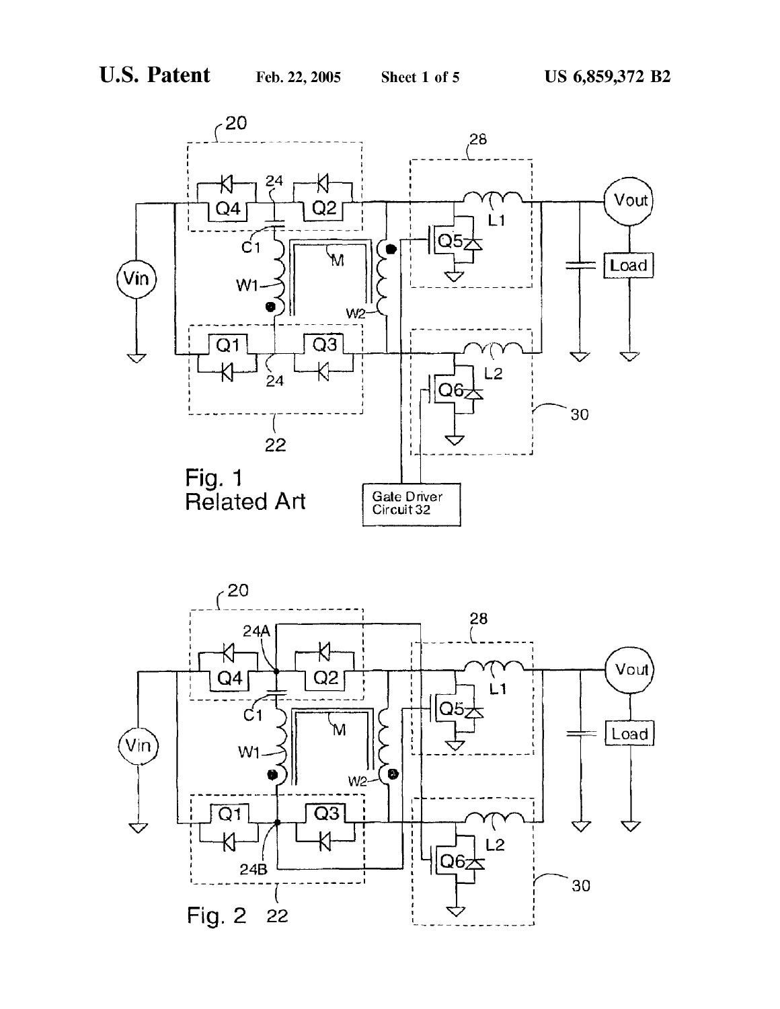

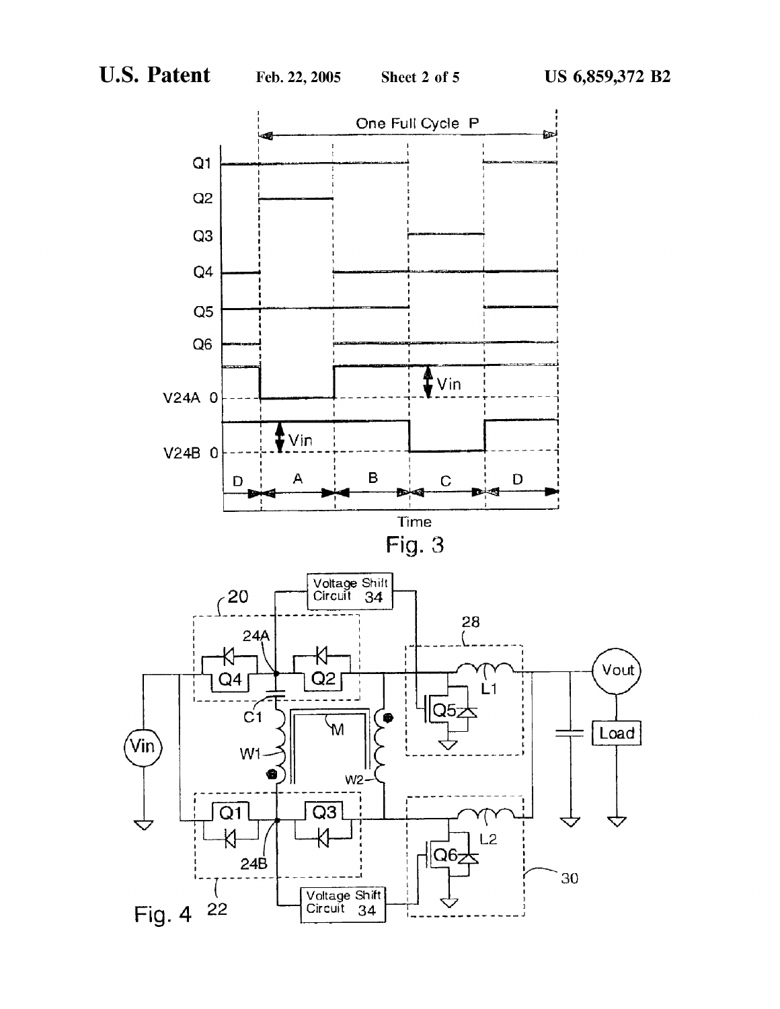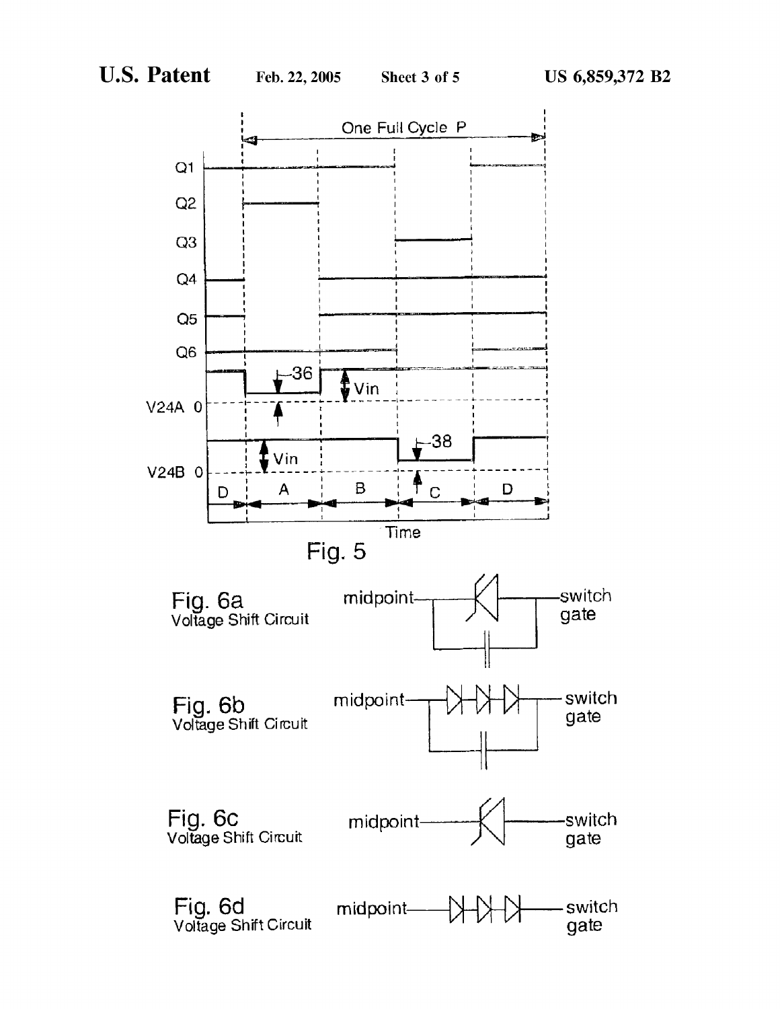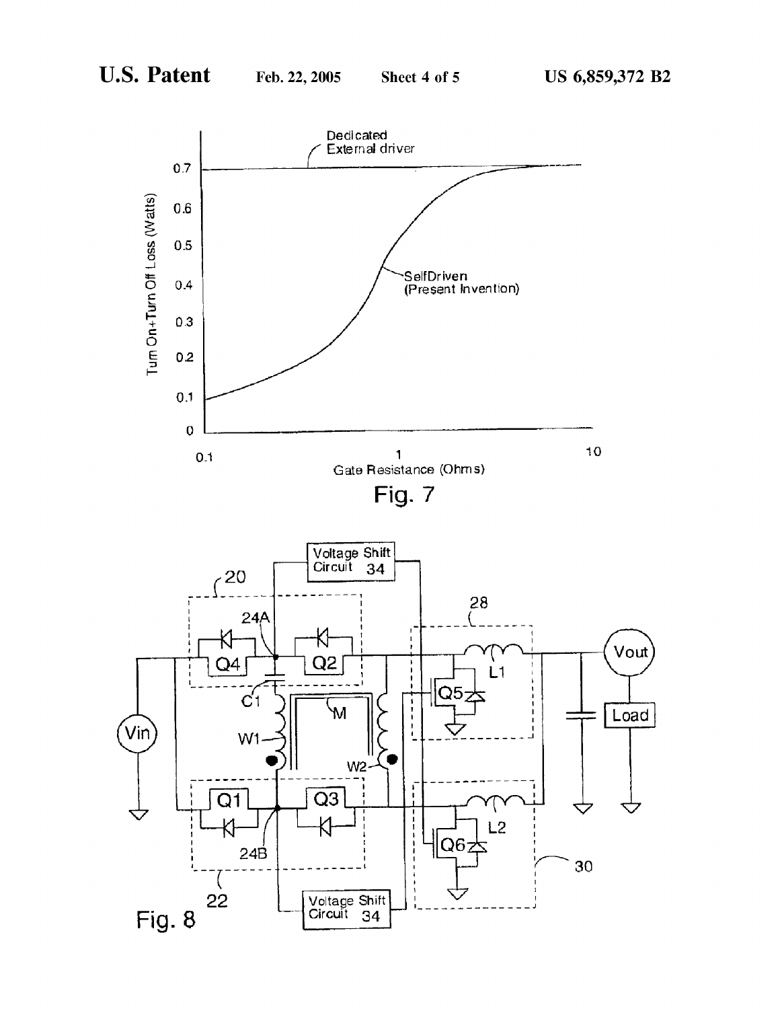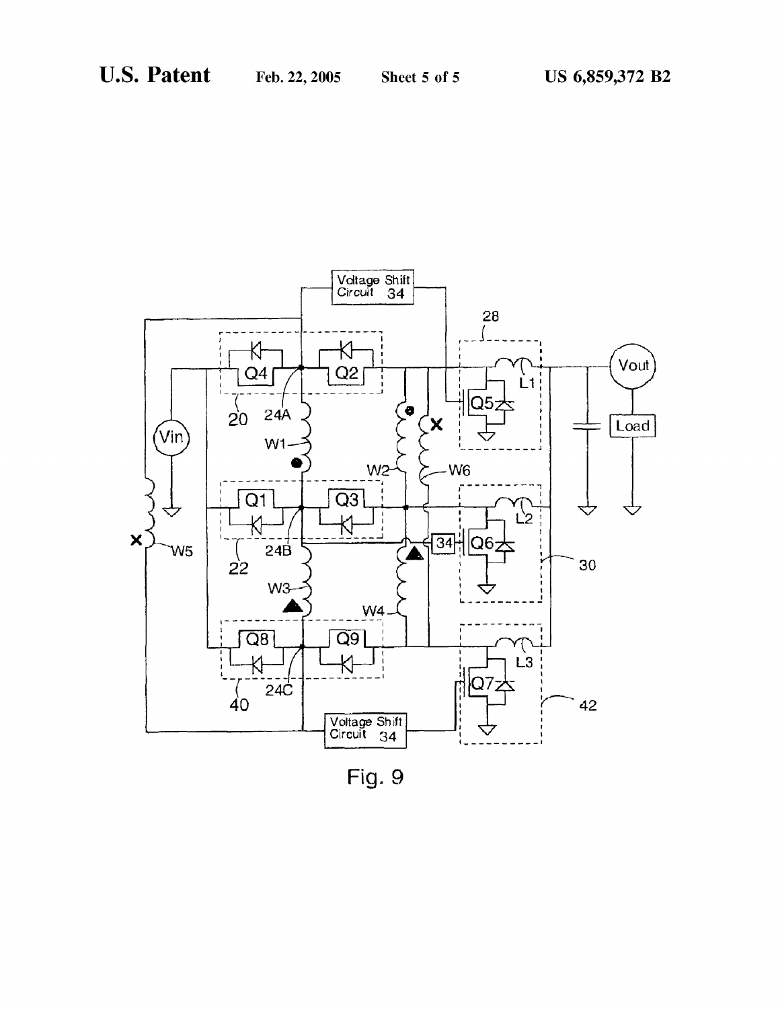

Fig. 9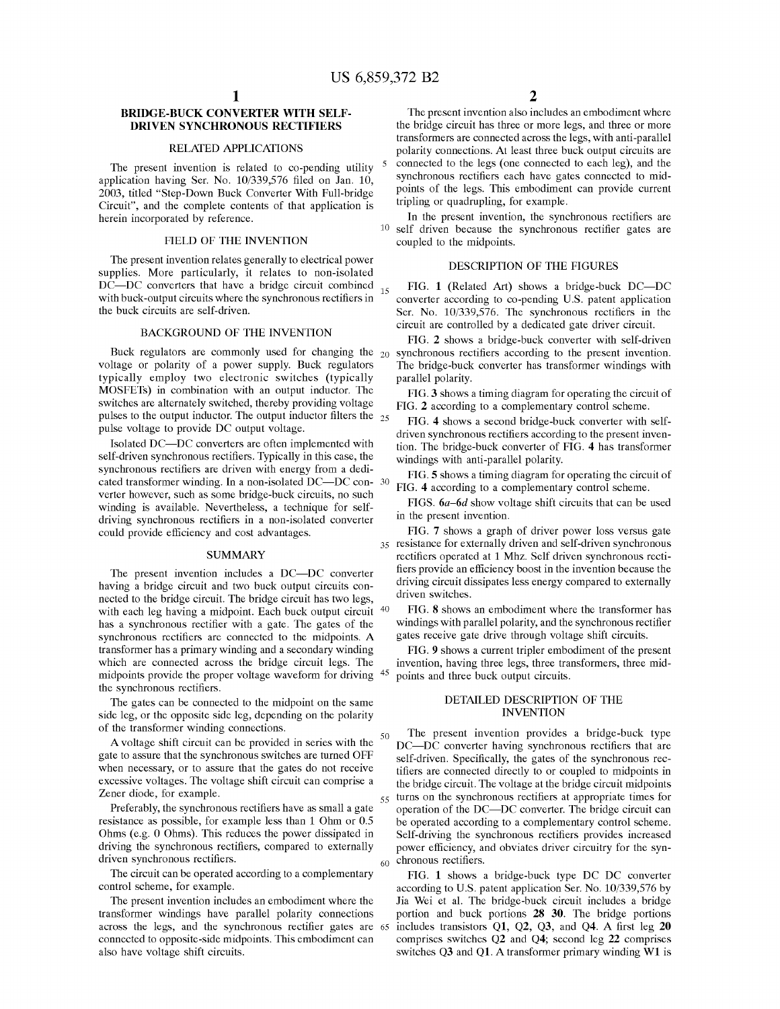15

45

50

### BRIDGE-BUCK CONVERTER WITH SELF-DRIVEN SYNCHRONOUS RECTIFIERS

### RELATED APPLICATIONS

The present invention is related to co-pending utility application having Ser. No. 10/339,576 filed on Jan. 10, 2003, titled "Step-Down Buck Converter With Full-bridge Circuit", and the complete contents of that application is herein incorporated by reference.

### FIELD OF THE INVENTION

The present invention relates generally to electrical power supplies. More particularly, it relates to non-isolated DC—DC converters that have <sup>a</sup> bridge circuit combined with buck-output circuits where the synchronous rectifiers in the buck circuits are self-driven.

### BACKGROUND OF THE INVENTION

voltage or polarity of a power supply. Buck regulators typically employ two electronic switches (typically MOSFETs) in combination with an output inductor. The switches are alternately switched, thereby providing voltage pulses to the output inductor. The output inductor filters the  $_{25}$ pulse voltage to provide DC output voltage.

Isolated DC—DC converters are often implemented with self-driven synchronous rectifiers. Typically in this case, the synchronous rectifiers are driven with energy from a dedisynchronous reculiers are driven with energy from a dedi-<br>cated transformer winding. In a non-isolated DC—DC con-30 verter however, such as some bridge-buck circuits, no such winding is available. Nevertheless, a technique for selfdriving synchronous rectifiers in a non-isolated converter could provide efficiency and cost advantages.

### SUMMARY

The present invention includes <sup>a</sup> DC—DC converter having a bridge circuit and two buck output circuits connected to the bridge circuit. The bridge circuit has two legs, with each leg having a midpoint. Each buck output circuit <sup>40</sup> has a synchronous rectifier with a gate. The gates of the synchronous rectifiers are connected to the midpoints. A transformer has a primary winding and a secondary winding which are connected across the bridge circuit legs. The midpoints provide the proper voltage waveform for driving the synchronous rectifiers.

The gates can be connected to the midpoint on the same side leg, or the opposite side leg, depending on the polarity of the transformer winding connections.

Avoltage shift circuit can be provided in series with the gate to assure that the synchronous switches are turned OFF when necessary, or to assure that the gates do not receive excessive voltages. The voltage shift circuit can comprise a Zener diode, for example.

Preferably, the synchronous rectifiers have as small a gate resistance as possible, for example less than <sup>1</sup> Ohm or 0.5 Ohms (e.g. 0 Ohms). This reduces the power dissipated in driving the synchronous rectifiers, compared to externally driven synchronous rectifiers.

The circuit can be operated according to a complementary control scheme, for example.

The present invention includes an embodiment where the transformer windings have parallel polarity connections across the legs, and the synchronous rectifier gates are 65 connected to opposite-side midpoints. This embodiment can also have voltage shift circuits.

The present invention also includes an embodiment where the bridge circuit has three or more legs, and three or more transformers are connected across the legs, with anti-parallel polarity connections. At least three buck output circuits are connected to the legs (one connected to each leg), and the synchronous rectifiers each have gates connected to midpoints of the legs. This embodiment can provide current tripling or quadrupling, for example.

10 self driven because the synchronous rectifier gates are In the present invention, the synchronous rectifiers are coupled to the midpoints.

### DESCRIPTION OF THE FIGURES

FIG. <sup>1</sup> (Related Art) shows <sup>a</sup> bridge-buck DC—DC converter according to co-pending US. patent application Ser. No. 10/339,576. The synchronous rectifiers in the circuit are controlled by a dedicated gate driver circuit.

Buck regulators are commonly used for changing the  $_{20}$  synchronous rectifiers according to the present invention. FIG. 2 shows a bridge-buck converter with self-driven The bridge-buck converter has transformer windings with parallel polarity.

> FIG. 3 shows a timing diagram for operating the circuit of FIG. 2 according to a complementary control scheme.

> FIG. 4 shows a second bridge-buck converter with selfdriven synchronous rectifiers according to the present invention. The bridge-buck converter of FIG. 4 has transformer windings with anti-parallel polarity.

> FIG. 5 shows a timing diagram for operating the circuit of FIG. 4 according to a complementary control scheme.

> FIGS. 6a—6d show voltage shift circuits that can be used in the present invention.

35 resistance for externally driven and self-driven synchronous FIG. 7 shows a graph of driver power loss versus gate rectifiers operated at 1 Mhz. Self driven synchronous rectifiers provide an efficiency boost in the invention because the driving circuit dissipates less energy compared to externally driven switches.

FIG. 8 shows an embodiment where the transformer has windings with parallel polarity, and the synchronous rectifier gates receive gate drive through voltage shift circuits.

FIG. 9 shows a current tripler embodiment of the present invention, having three legs, three transformers, three midpoints and three buck output circuits.

### DETAILED DESCRIPTION OF THE INVENTION

55 60 The present invention provides a bridge-buck type DC—DC converter having synchronous rectifiers that are self-driven. Specifically, the gates of the synchronous rectifiers are connected directly to or coupled to midpoints in the bridge circuit. The voltage at the bridge circuit midpoints turns on the synchronous rectifiers at appropriate times for operation of the DC—DC converter. The bridge circuit can be operated according to a complementary control scheme. Self-driving the synchronous rectifiers provides increased power efficiency, and obviates driver circuitry for the synchronous rectifiers.

FIG. <sup>1</sup> shows <sup>a</sup> bridge-buck type DC DC converter according to US. patent application Ser. No. 10/339,576 by Jia Wei et al. The bridge-buck circuit includes a bridge portion and buck portions 28 30. The bridge portions includes transistors Q1, Q2, Q3, and Q4. A first leg <sup>20</sup> comprises switches Q2 and Q4; second leg 22 comprises switches Q3 and Q1. A transformer primary winding W1 is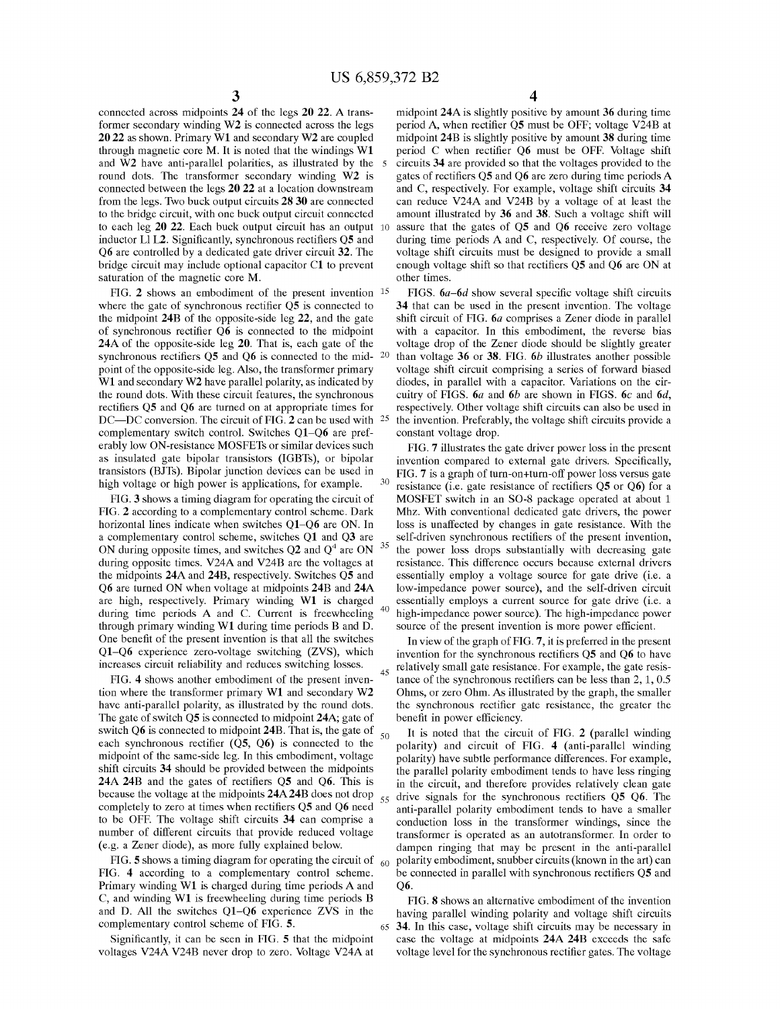30

35

45

55

65

connected across midpoints <sup>24</sup> of the legs <sup>20</sup> 22. A transformer secondary winding W2 is connected across the legs 20 <sup>22</sup> as shown. Primary W1 and secondary W2 are coupled through magnetic core M. It is noted that the windings W1 and  $W2$  have anti-parallel polarities, as illustrated by the  $5$ round dots. The transformer secondary winding W2 is connected between the legs 20 22 at a location downstream from the legs. Two buck output circuits 28 30 are connected to the bridge circuit, with one buck output circuit connected to each leg 20 22. Each buck output circuit has an output 10 inductor L1 L2. Significantly, synchronous rectifiers Q5 and Q6 are controlled by <sup>a</sup> dedicated gate driver circuit 32. The bridge circuit may include optional capacitor C1 to prevent saturation of the magnetic core M.

FIG. 2 shows an embodiment of the present invention  $15$ where the gate of synchronous rectifier Q5 is connected to the midpoint 24B of the opposite-side leg 22, and the gate of synchronous rectifier Q6 is connected to the midpoint 24A of the opposite-side leg 20. That is, each gate of the synchronous rectifiers  $0.5$  and  $0.6$  is connected to the midpoint of the opposite-side leg. Also, the transformer primary W1 and secondary W2 have parallel polarity, as indicated by the round dots. With these circuit features, the synchronous rectifiers Q5 and Q6 are turned on at appropriate times for reculiers  $Q_3$  and  $Q_0$  are turned on at appropriate times for<br>DC—DC conversion. The circuit of FIG. 2 can be used with  $25$ complementary switch control. Switches Q1—Q6 are preferably low ON-resistance MOSFETs or similar devices such as insulated gate bipolar transistors (IGBTs), or bipolar transistors (BJTs). Bipolar junction devices can be used in high voltage or high power is applications, for example.

FIG. 3 shows a timing diagram for operating the circuit of FIG. 2 according to a complementary control scheme. Dark horizontal lines indicate when switches Q1—Q6 are ON. In <sup>a</sup> complementary control scheme, switches Q1 and Q3 are ON during opposite times, and switches  $Q2$  and  $Q<sup>4</sup>$  are ON during opposite times. V24A and V24B are the voltages at the midpoints 24A and 24B, respectively. Switches Q5 and Q6 are turned ON when voltage at midpoints 24B and 24A are high, respectively. Primary winding W1 is charged during time periods A and C. Current is freewheeling through primary winding W1 during time periods B and D. One benefit of the present invention is that all the switches Q1—Q6 experience zero-voltage switching (ZVS), which increases circuit reliability and reduces switching losses.

FIG. 4 shows another embodiment of the present invention where the transformer primary W1 and secondary W2 have anti-parallel polarity, as illustrated by the round dots. The gate of switch Q5 is connected to midpoint 24A; gate of switch Q6 is connected to midpoint 24B. That is, the gate of  $\frac{50}{50}$ each synchronous rectifier  $(Q5, Q6)$  is connected to the midpoint of the same-side leg. In this embodiment, voltage shift circuits 34 should be provided between the midpoints 24A 24B and the gates of rectifiers Q5 and Q6. This is because the voltage at the midpoints 24A 24B does not drop completely to zero at times when rectifiers Q5 and Q6 need to be OFF. The voltage shift circuits 34 can comprise a number of different circuits that provide reduced voltage (e.g. a Zener diode), as more fully explained below.

FIG. 5 shows a timing diagram for operating the circuit of  $\epsilon_{60}$ FIG. 4 according to a complementary control scheme. Primary winding W1 is charged during time periods A and C, and winding W1 is freewheeling during time periods B and D. All the switches Q1—Q6 experience ZVS in the complementary control scheme of FIG. 5.

Significantly, it can be seen in FIG. 5 that the midpoint voltages V24A V24B never drop to zero. Voltage V24A at midpoint 24A is slightly positive by amount 36 during time period A, when rectifier Q5 must be OFF; voltage V24B at midpoint 24B is slightly positive by amount 38 during time period C when rectifier Q6 must be OFF. Voltage shift circuits 34 are provided so that the voltages provided to the gates of rectifiers Q5 and Q6 are zero during time periods A and C, respectively. For example, voltage shift circuits 34 can reduce V24A and V24B by <sup>a</sup> voltage of at least the amount illustrated by 36 and 38. Such a voltage shift will assure that the gates of Q5 and Q6 receive zero voltage during time periods A and C, respectively. Of course, the voltage shift circuits must be designed to provide a small enough voltage shift so that rectifiers Q5 and Q6 are ON at other times.

FIGS. 6a—6d show several specific voltage shift circuits 34 that can be used in the present invention. The voltage shift circuit of FIG. 6a comprises a Zener diode in parallel with a capacitor. In this embodiment, the reverse bias voltage drop of the Zener diode should be slightly greater than voltage 36 or 38. FIG. 6b illustrates another possible voltage shift circuit comprising a series of forward biased diodes, in parallel with a capacitor. Variations on the circuitry of FIGS.  $6a$  and  $6b$  are shown in FIGS.  $6c$  and  $6d$ , respectively. Other voltage shift circuits can also be used in the invention. Preferably, the voltage shift circuits provide a constant voltage drop.

FIG. 7 illustrates the gate driver power loss in the present invention compared to external gate drivers. Specifically, FIG. 7 is a graph of turn-on+turn-off power loss versus gate resistance (i.e. gate resistance of rectifiers Q5 or Q6) for <sup>a</sup> MOSFET switch in an 80-8 package operated at about <sup>1</sup> Mhz. With conventional dedicated gate drivers, the power loss is unaffected by changes in gate resistance. With the self-driven synchronous rectifiers of the present invention, the power loss drops substantially with decreasing gate resistance. This difference occurs because external drivers essentially employ a voltage source for gate drive (i.e. a low-impedance power source), and the self-driven circuit essentially employs a current source for gate drive (i.e. a high-impedance power source). The high-impedance power source of the present invention is more power efficient.

In view of the graph of FIG. 7, it is preferred in the present invention for the synchronous rectifiers Q5 and Q6 to have relatively small gate resistance. For example, the gate resistance of the synchronous rectifiers can be less than 2, 1, 0.5 Ohms, or zero Ohm. As illustrated by the graph, the smaller the synchronous rectifier gate resistance, the greater the benefit in power efficiency.

It is noted that the circuit of FIG. 2 (parallel winding polarity) and circuit of FIG. 4 (anti-parallel winding polarity) have subtle performance differences. For example, the parallel polarity embodiment tends to have less ringing in the circuit, and therefore provides relatively clean gate drive signals for the synchronous rectifiers Q5 Q6. The anti-parallel polarity embodiment tends to have a smaller conduction loss in the transformer windings, since the transformer is operated as an autotransformer. In order to dampen ringing that may be present in the anti-parallel polarity embodiment, snubber circuits (known in the art) can be connected in parallel with synchronous rectifiers Q5 and Q6.

FIG. 8 shows an alternative embodiment of the invention having parallel winding polarity and voltage shift circuits 34. In this case, voltage shift circuits may be necessary in case the voltage at midpoints 24A 24B exceeds the safe voltage level for the synchronous rectifier gates. The voltage